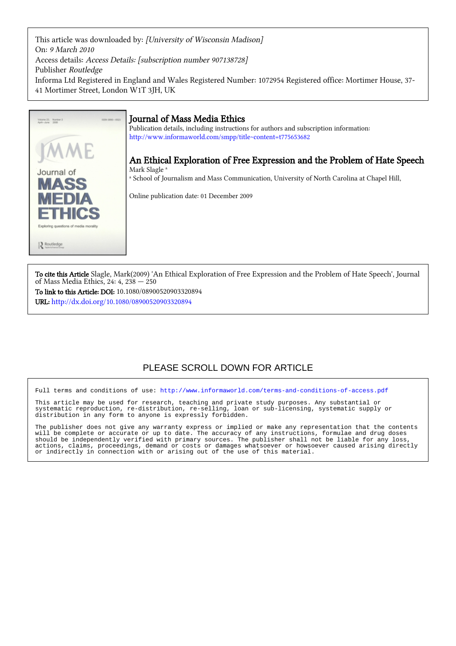This article was downloaded by: [University of Wisconsin Madison] On: 9 March 2010 Access details: Access Details: [subscription number 907138728] Publisher Routledge Informa Ltd Registered in England and Wales Registered Number: 1072954 Registered office: Mortimer House, 37- 41 Mortimer Street, London W1T 3JH, UK



# Journal of Mass Media Ethics

Publication details, including instructions for authors and subscription information: <http://www.informaworld.com/smpp/title~content=t775653682>

# An Ethical Exploration of Free Expression and the Problem of Hate Speech Mark Slagle<sup>a</sup>

a School of Journalism and Mass Communication, University of North Carolina at Chapel Hill,

Online publication date: 01 December 2009

To cite this Article Slagle, Mark(2009) 'An Ethical Exploration of Free Expression and the Problem of Hate Speech', Journal of Mass Media Ethics, 24: 4, 238 — 250

To link to this Article: DOI: 10.1080/08900520903320894 URL: <http://dx.doi.org/10.1080/08900520903320894>

# PLEASE SCROLL DOWN FOR ARTICLE

Full terms and conditions of use:<http://www.informaworld.com/terms-and-conditions-of-access.pdf>

This article may be used for research, teaching and private study purposes. Any substantial or systematic reproduction, re-distribution, re-selling, loan or sub-licensing, systematic supply or distribution in any form to anyone is expressly forbidden.

The publisher does not give any warranty express or implied or make any representation that the contents will be complete or accurate or up to date. The accuracy of any instructions, formulae and drug doses should be independently verified with primary sources. The publisher shall not be liable for any loss, actions, claims, proceedings, demand or costs or damages whatsoever or howsoever caused arising directly or indirectly in connection with or arising out of the use of this material.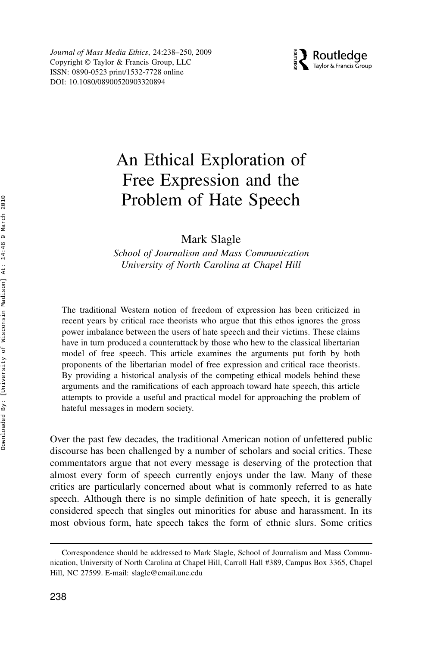Journal of Mass Media Ethics, 24:238–250, 2009 Copyright © Taylor & Francis Group, LLC ISSN: 0890-0523 print/1532-7728 online DOI: 10.1080/08900520903320894



# An Ethical Exploration of Free Expression and the Problem of Hate Speech

Mark Slagle

School of Journalism and Mass Communication University of North Carolina at Chapel Hill

The traditional Western notion of freedom of expression has been criticized in recent years by critical race theorists who argue that this ethos ignores the gross power imbalance between the users of hate speech and their victims. These claims have in turn produced a counterattack by those who hew to the classical libertarian model of free speech. This article examines the arguments put forth by both proponents of the libertarian model of free expression and critical race theorists. By providing a historical analysis of the competing ethical models behind these arguments and the ramifications of each approach toward hate speech, this article attempts to provide a useful and practical model for approaching the problem of hateful messages in modern society.

Over the past few decades, the traditional American notion of unfettered public discourse has been challenged by a number of scholars and social critics. These commentators argue that not every message is deserving of the protection that almost every form of speech currently enjoys under the law. Many of these critics are particularly concerned about what is commonly referred to as hate speech. Although there is no simple definition of hate speech, it is generally considered speech that singles out minorities for abuse and harassment. In its most obvious form, hate speech takes the form of ethnic slurs. Some critics

Correspondence should be addressed to Mark Slagle, School of Journalism and Mass Communication, University of North Carolina at Chapel Hill, Carroll Hall #389, Campus Box 3365, Chapel Hill, NC 27599. E-mail: slagle@email.unc.edu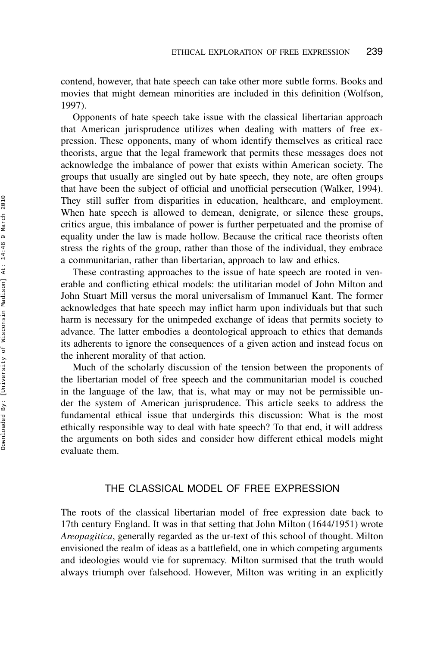contend, however, that hate speech can take other more subtle forms. Books and movies that might demean minorities are included in this definition (Wolfson, 1997).

Opponents of hate speech take issue with the classical libertarian approach that American jurisprudence utilizes when dealing with matters of free expression. These opponents, many of whom identify themselves as critical race theorists, argue that the legal framework that permits these messages does not acknowledge the imbalance of power that exists within American society. The groups that usually are singled out by hate speech, they note, are often groups that have been the subject of official and unofficial persecution (Walker, 1994). They still suffer from disparities in education, healthcare, and employment. When hate speech is allowed to demean, denigrate, or silence these groups, critics argue, this imbalance of power is further perpetuated and the promise of equality under the law is made hollow. Because the critical race theorists often stress the rights of the group, rather than those of the individual, they embrace a communitarian, rather than libertarian, approach to law and ethics.

These contrasting approaches to the issue of hate speech are rooted in venerable and conflicting ethical models: the utilitarian model of John Milton and John Stuart Mill versus the moral universalism of Immanuel Kant. The former acknowledges that hate speech may inflict harm upon individuals but that such harm is necessary for the unimpeded exchange of ideas that permits society to advance. The latter embodies a deontological approach to ethics that demands its adherents to ignore the consequences of a given action and instead focus on the inherent morality of that action.

Much of the scholarly discussion of the tension between the proponents of the libertarian model of free speech and the communitarian model is couched in the language of the law, that is, what may or may not be permissible under the system of American jurisprudence. This article seeks to address the fundamental ethical issue that undergirds this discussion: What is the most ethically responsible way to deal with hate speech? To that end, it will address the arguments on both sides and consider how different ethical models might evaluate them.

#### THE CLASSICAL MODEL OF FREE EXPRESSION

The roots of the classical libertarian model of free expression date back to 17th century England. It was in that setting that John Milton (1644/1951) wrote Areopagitica, generally regarded as the ur-text of this school of thought. Milton envisioned the realm of ideas as a battlefield, one in which competing arguments and ideologies would vie for supremacy. Milton surmised that the truth would always triumph over falsehood. However, Milton was writing in an explicitly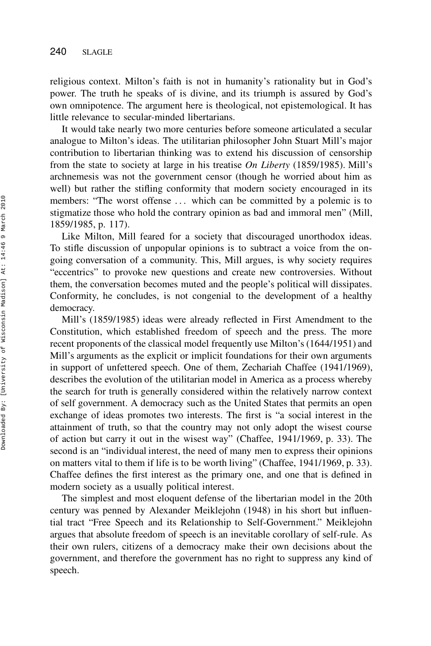religious context. Milton's faith is not in humanity's rationality but in God's power. The truth he speaks of is divine, and its triumph is assured by God's own omnipotence. The argument here is theological, not epistemological. It has little relevance to secular-minded libertarians.

It would take nearly two more centuries before someone articulated a secular analogue to Milton's ideas. The utilitarian philosopher John Stuart Mill's major contribution to libertarian thinking was to extend his discussion of censorship from the state to society at large in his treatise On Liberty (1859/1985). Mill's archnemesis was not the government censor (though he worried about him as well) but rather the stifling conformity that modern society encouraged in its members: "The worst offense ... which can be committed by a polemic is to stigmatize those who hold the contrary opinion as bad and immoral men" (Mill, 1859/1985, p. 117).

Like Milton, Mill feared for a society that discouraged unorthodox ideas. To stifle discussion of unpopular opinions is to subtract a voice from the ongoing conversation of a community. This, Mill argues, is why society requires "eccentrics" to provoke new questions and create new controversies. Without them, the conversation becomes muted and the people's political will dissipates. Conformity, he concludes, is not congenial to the development of a healthy democracy.

Mill's (1859/1985) ideas were already reflected in First Amendment to the Constitution, which established freedom of speech and the press. The more recent proponents of the classical model frequently use Milton's (1644/1951) and Mill's arguments as the explicit or implicit foundations for their own arguments in support of unfettered speech. One of them, Zechariah Chaffee (1941/1969), describes the evolution of the utilitarian model in America as a process whereby the search for truth is generally considered within the relatively narrow context of self government. A democracy such as the United States that permits an open exchange of ideas promotes two interests. The first is "a social interest in the attainment of truth, so that the country may not only adopt the wisest course of action but carry it out in the wisest way" (Chaffee, 1941/1969, p. 33). The second is an "individual interest, the need of many men to express their opinions on matters vital to them if life is to be worth living" (Chaffee, 1941/1969, p. 33). Chaffee defines the first interest as the primary one, and one that is defined in modern society as a usually political interest.

The simplest and most eloquent defense of the libertarian model in the 20th century was penned by Alexander Meiklejohn (1948) in his short but influential tract "Free Speech and its Relationship to Self-Government." Meiklejohn argues that absolute freedom of speech is an inevitable corollary of self-rule. As their own rulers, citizens of a democracy make their own decisions about the government, and therefore the government has no right to suppress any kind of speech.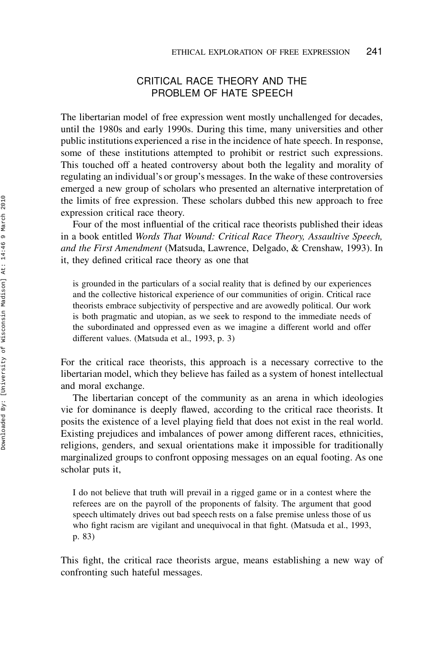# CRITICAL RACE THEORY AND THE PROBLEM OF HATE SPEECH

The libertarian model of free expression went mostly unchallenged for decades, until the 1980s and early 1990s. During this time, many universities and other public institutions experienced a rise in the incidence of hate speech. In response, some of these institutions attempted to prohibit or restrict such expressions. This touched off a heated controversy about both the legality and morality of regulating an individual's or group's messages. In the wake of these controversies emerged a new group of scholars who presented an alternative interpretation of the limits of free expression. These scholars dubbed this new approach to free expression critical race theory.

Four of the most influential of the critical race theorists published their ideas in a book entitled Words That Wound: Critical Race Theory, Assaultive Speech, and the First Amendment (Matsuda, Lawrence, Delgado, & Crenshaw, 1993). In it, they defined critical race theory as one that

is grounded in the particulars of a social reality that is defined by our experiences and the collective historical experience of our communities of origin. Critical race theorists embrace subjectivity of perspective and are avowedly political. Our work is both pragmatic and utopian, as we seek to respond to the immediate needs of the subordinated and oppressed even as we imagine a different world and offer different values. (Matsuda et al., 1993, p. 3)

For the critical race theorists, this approach is a necessary corrective to the libertarian model, which they believe has failed as a system of honest intellectual and moral exchange.

The libertarian concept of the community as an arena in which ideologies vie for dominance is deeply flawed, according to the critical race theorists. It posits the existence of a level playing field that does not exist in the real world. Existing prejudices and imbalances of power among different races, ethnicities, religions, genders, and sexual orientations make it impossible for traditionally marginalized groups to confront opposing messages on an equal footing. As one scholar puts it,

I do not believe that truth will prevail in a rigged game or in a contest where the referees are on the payroll of the proponents of falsity. The argument that good speech ultimately drives out bad speech rests on a false premise unless those of us who fight racism are vigilant and unequivocal in that fight. (Matsuda et al., 1993, p. 83)

This fight, the critical race theorists argue, means establishing a new way of confronting such hateful messages.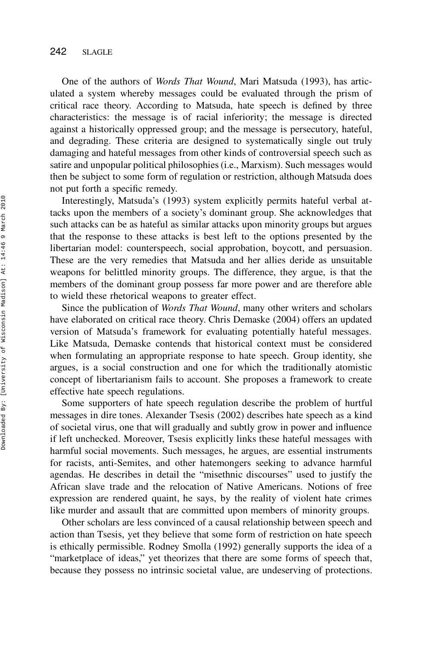One of the authors of Words That Wound, Mari Matsuda (1993), has articulated a system whereby messages could be evaluated through the prism of critical race theory. According to Matsuda, hate speech is defined by three characteristics: the message is of racial inferiority; the message is directed against a historically oppressed group; and the message is persecutory, hateful, and degrading. These criteria are designed to systematically single out truly damaging and hateful messages from other kinds of controversial speech such as satire and unpopular political philosophies (i.e., Marxism). Such messages would then be subject to some form of regulation or restriction, although Matsuda does not put forth a specific remedy.

Interestingly, Matsuda's (1993) system explicitly permits hateful verbal attacks upon the members of a society's dominant group. She acknowledges that such attacks can be as hateful as similar attacks upon minority groups but argues that the response to these attacks is best left to the options presented by the libertarian model: counterspeech, social approbation, boycott, and persuasion. These are the very remedies that Matsuda and her allies deride as unsuitable weapons for belittled minority groups. The difference, they argue, is that the members of the dominant group possess far more power and are therefore able to wield these rhetorical weapons to greater effect.

Since the publication of *Words That Wound*, many other writers and scholars have elaborated on critical race theory. Chris Demaske (2004) offers an updated version of Matsuda's framework for evaluating potentially hateful messages. Like Matsuda, Demaske contends that historical context must be considered when formulating an appropriate response to hate speech. Group identity, she argues, is a social construction and one for which the traditionally atomistic concept of libertarianism fails to account. She proposes a framework to create effective hate speech regulations.

Some supporters of hate speech regulation describe the problem of hurtful messages in dire tones. Alexander Tsesis (2002) describes hate speech as a kind of societal virus, one that will gradually and subtly grow in power and influence if left unchecked. Moreover, Tsesis explicitly links these hateful messages with harmful social movements. Such messages, he argues, are essential instruments for racists, anti-Semites, and other hatemongers seeking to advance harmful agendas. He describes in detail the "misethnic discourses" used to justify the African slave trade and the relocation of Native Americans. Notions of free expression are rendered quaint, he says, by the reality of violent hate crimes like murder and assault that are committed upon members of minority groups.

Other scholars are less convinced of a causal relationship between speech and action than Tsesis, yet they believe that some form of restriction on hate speech is ethically permissible. Rodney Smolla (1992) generally supports the idea of a "marketplace of ideas," yet theorizes that there are some forms of speech that, because they possess no intrinsic societal value, are undeserving of protections.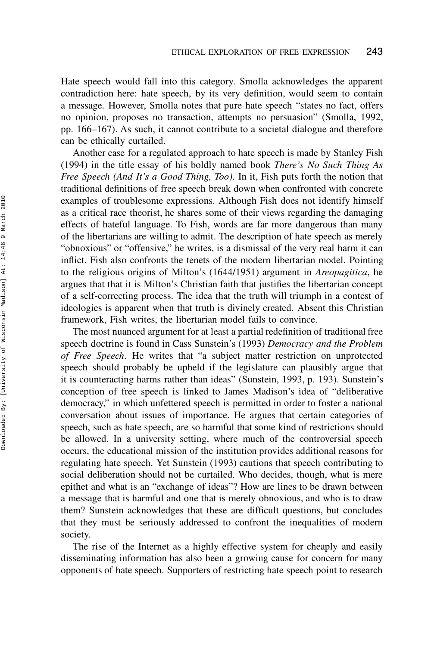Hate speech would fall into this category. Smolla acknowledges the apparent contradiction here: hate speech, by its very definition, would seem to contain a message. However, Smolla notes that pure hate speech "states no fact, offers no opinion, proposes no transaction, attempts no persuasion" (Smolla, 1992, pp. 166–167). As such, it cannot contribute to a societal dialogue and therefore can be ethically curtailed.

Another case for a regulated approach to hate speech is made by Stanley Fish (1994) in the title essay of his boldly named book There's No Such Thing As Free Speech (And It's a Good Thing, Too). In it, Fish puts forth the notion that traditional definitions of free speech break down when confronted with concrete examples of troublesome expressions. Although Fish does not identify himself as a critical race theorist, he shares some of their views regarding the damaging effects of hateful language. To Fish, words are far more dangerous than many of the libertarians are willing to admit. The description of hate speech as merely "obnoxious" or "offensive," he writes, is a dismissal of the very real harm it can inflict. Fish also confronts the tenets of the modern libertarian model. Pointing to the religious origins of Milton's (1644/1951) argument in Areopagitica, he argues that that it is Milton's Christian faith that justifies the libertarian concept of a self-correcting process. The idea that the truth will triumph in a contest of ideologies is apparent when that truth is divinely created. Absent this Christian framework, Fish writes, the libertarian model fails to convince.

The most nuanced argument for at least a partial redefinition of traditional free speech doctrine is found in Cass Sunstein's (1993) Democracy and the Problem of Free Speech. He writes that "a subject matter restriction on unprotected speech should probably be upheld if the legislature can plausibly argue that it is counteracting harms rather than ideas" (Sunstein, 1993, p. 193). Sunstein's conception of free speech is linked to James Madison's idea of "deliberative democracy," in which unfettered speech is permitted in order to foster a national conversation about issues of importance. He argues that certain categories of speech, such as hate speech, are so harmful that some kind of restrictions should be allowed. In a university setting, where much of the controversial speech occurs, the educational mission of the institution provides additional reasons for regulating hate speech. Yet Sunstein (1993) cautions that speech contributing to social deliberation should not be curtailed. Who decides, though, what is mere epithet and what is an "exchange of ideas"? How are lines to be drawn between a message that is harmful and one that is merely obnoxious, and who is to draw them? Sunstein acknowledges that these are difficult questions, but concludes that they must be seriously addressed to confront the inequalities of modern society.

The rise of the Internet as a highly effective system for cheaply and easily disseminating information has also been a growing cause for concern for many opponents of hate speech. Supporters of restricting hate speech point to research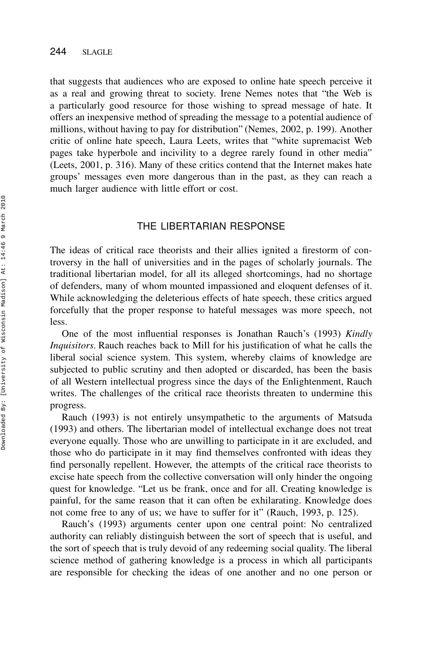that suggests that audiences who are exposed to online hate speech perceive it as a real and growing threat to society. Irene Nemes notes that "the Web is a particularly good resource for those wishing to spread message of hate. It offers an inexpensive method of spreading the message to a potential audience of millions, without having to pay for distribution" (Nemes, 2002, p. 199). Another critic of online hate speech, Laura Leets, writes that "white supremacist Web pages take hyperbole and incivility to a degree rarely found in other media" (Leets, 2001, p. 316). Many of these critics contend that the Internet makes hate groups' messages even more dangerous than in the past, as they can reach a much larger audience with little effort or cost.

## THE LIBERTARIAN RESPONSE

The ideas of critical race theorists and their allies ignited a firestorm of controversy in the hall of universities and in the pages of scholarly journals. The traditional libertarian model, for all its alleged shortcomings, had no shortage of defenders, many of whom mounted impassioned and eloquent defenses of it. While acknowledging the deleterious effects of hate speech, these critics argued forcefully that the proper response to hateful messages was more speech, not less.

One of the most influential responses is Jonathan Rauch's (1993) Kindly Inquisitors. Rauch reaches back to Mill for his justification of what he calls the liberal social science system. This system, whereby claims of knowledge are subjected to public scrutiny and then adopted or discarded, has been the basis of all Western intellectual progress since the days of the Enlightenment, Rauch writes. The challenges of the critical race theorists threaten to undermine this progress.

Rauch (1993) is not entirely unsympathetic to the arguments of Matsuda (1993) and others. The libertarian model of intellectual exchange does not treat everyone equally. Those who are unwilling to participate in it are excluded, and those who do participate in it may find themselves confronted with ideas they find personally repellent. However, the attempts of the critical race theorists to excise hate speech from the collective conversation will only hinder the ongoing quest for knowledge. "Let us be frank, once and for all. Creating knowledge is painful, for the same reason that it can often be exhilarating. Knowledge does not come free to any of us; we have to suffer for it" (Rauch, 1993, p. 125).

Rauch's (1993) arguments center upon one central point: No centralized authority can reliably distinguish between the sort of speech that is useful, and the sort of speech that is truly devoid of any redeeming social quality. The liberal science method of gathering knowledge is a process in which all participants are responsible for checking the ideas of one another and no one person or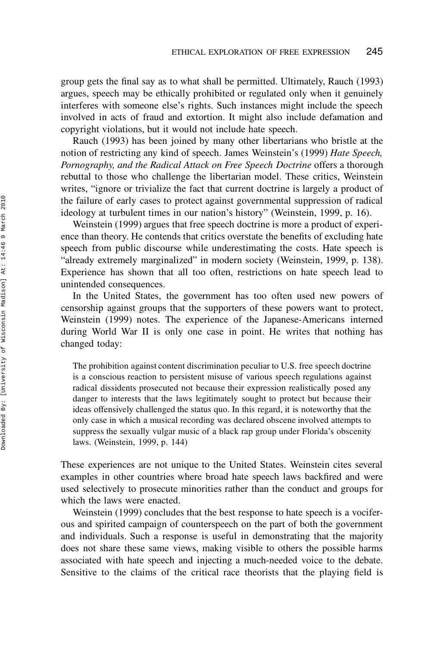group gets the final say as to what shall be permitted. Ultimately, Rauch (1993) argues, speech may be ethically prohibited or regulated only when it genuinely interferes with someone else's rights. Such instances might include the speech involved in acts of fraud and extortion. It might also include defamation and copyright violations, but it would not include hate speech.

Rauch (1993) has been joined by many other libertarians who bristle at the notion of restricting any kind of speech. James Weinstein's (1999) Hate Speech, Pornography, and the Radical Attack on Free Speech Doctrine offers a thorough rebuttal to those who challenge the libertarian model. These critics, Weinstein writes, "ignore or trivialize the fact that current doctrine is largely a product of the failure of early cases to protect against governmental suppression of radical ideology at turbulent times in our nation's history" (Weinstein, 1999, p. 16).

Weinstein (1999) argues that free speech doctrine is more a product of experience than theory. He contends that critics overstate the benefits of excluding hate speech from public discourse while underestimating the costs. Hate speech is "already extremely marginalized" in modern society (Weinstein, 1999, p. 138). Experience has shown that all too often, restrictions on hate speech lead to unintended consequences.

In the United States, the government has too often used new powers of censorship against groups that the supporters of these powers want to protect, Weinstein (1999) notes. The experience of the Japanese-Americans interned during World War II is only one case in point. He writes that nothing has changed today:

The prohibition against content discrimination peculiar to U.S. free speech doctrine is a conscious reaction to persistent misuse of various speech regulations against radical dissidents prosecuted not because their expression realistically posed any danger to interests that the laws legitimately sought to protect but because their ideas offensively challenged the status quo. In this regard, it is noteworthy that the only case in which a musical recording was declared obscene involved attempts to suppress the sexually vulgar music of a black rap group under Florida's obscenity laws. (Weinstein, 1999, p. 144)

These experiences are not unique to the United States. Weinstein cites several examples in other countries where broad hate speech laws backfired and were used selectively to prosecute minorities rather than the conduct and groups for which the laws were enacted.

Weinstein (1999) concludes that the best response to hate speech is a vociferous and spirited campaign of counterspeech on the part of both the government and individuals. Such a response is useful in demonstrating that the majority does not share these same views, making visible to others the possible harms associated with hate speech and injecting a much-needed voice to the debate. Sensitive to the claims of the critical race theorists that the playing field is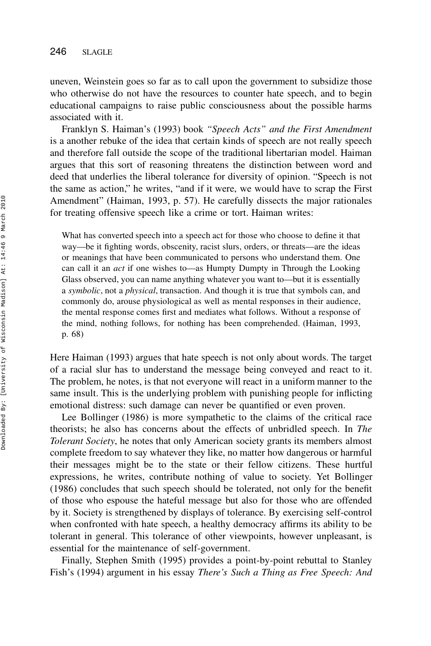uneven, Weinstein goes so far as to call upon the government to subsidize those who otherwise do not have the resources to counter hate speech, and to begin educational campaigns to raise public consciousness about the possible harms associated with it.

Franklyn S. Haiman's (1993) book "Speech Acts" and the First Amendment is a another rebuke of the idea that certain kinds of speech are not really speech and therefore fall outside the scope of the traditional libertarian model. Haiman argues that this sort of reasoning threatens the distinction between word and deed that underlies the liberal tolerance for diversity of opinion. "Speech is not the same as action," he writes, "and if it were, we would have to scrap the First Amendment" (Haiman, 1993, p. 57). He carefully dissects the major rationales for treating offensive speech like a crime or tort. Haiman writes:

What has converted speech into a speech act for those who choose to define it that way—be it fighting words, obscenity, racist slurs, orders, or threats—are the ideas or meanings that have been communicated to persons who understand them. One can call it an act if one wishes to—as Humpty Dumpty in Through the Looking Glass observed, you can name anything whatever you want to—but it is essentially a symbolic, not a physical, transaction. And though it is true that symbols can, and commonly do, arouse physiological as well as mental responses in their audience, the mental response comes first and mediates what follows. Without a response of the mind, nothing follows, for nothing has been comprehended. (Haiman, 1993, p. 68)

Here Haiman (1993) argues that hate speech is not only about words. The target of a racial slur has to understand the message being conveyed and react to it. The problem, he notes, is that not everyone will react in a uniform manner to the same insult. This is the underlying problem with punishing people for inflicting emotional distress: such damage can never be quantified or even proven.

Lee Bollinger (1986) is more sympathetic to the claims of the critical race theorists; he also has concerns about the effects of unbridled speech. In The Tolerant Society, he notes that only American society grants its members almost complete freedom to say whatever they like, no matter how dangerous or harmful their messages might be to the state or their fellow citizens. These hurtful expressions, he writes, contribute nothing of value to society. Yet Bollinger (1986) concludes that such speech should be tolerated, not only for the benefit of those who espouse the hateful message but also for those who are offended by it. Society is strengthened by displays of tolerance. By exercising self-control when confronted with hate speech, a healthy democracy affirms its ability to be tolerant in general. This tolerance of other viewpoints, however unpleasant, is essential for the maintenance of self-government.

Finally, Stephen Smith (1995) provides a point-by-point rebuttal to Stanley Fish's (1994) argument in his essay There's Such a Thing as Free Speech: And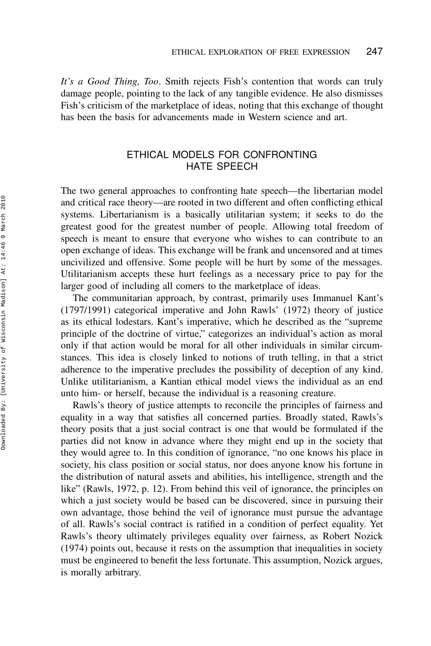It's a Good Thing, Too. Smith rejects Fish's contention that words can truly damage people, pointing to the lack of any tangible evidence. He also dismisses Fish's criticism of the marketplace of ideas, noting that this exchange of thought has been the basis for advancements made in Western science and art.

## ETHICAL MODELS FOR CONFRONTING HATE SPEECH

The two general approaches to confronting hate speech—the libertarian model and critical race theory—are rooted in two different and often conflicting ethical systems. Libertarianism is a basically utilitarian system; it seeks to do the greatest good for the greatest number of people. Allowing total freedom of speech is meant to ensure that everyone who wishes to can contribute to an open exchange of ideas. This exchange will be frank and uncensored and at times uncivilized and offensive. Some people will be hurt by some of the messages. Utilitarianism accepts these hurt feelings as a necessary price to pay for the larger good of including all comers to the marketplace of ideas.

The communitarian approach, by contrast, primarily uses Immanuel Kant's (1797/1991) categorical imperative and John Rawls' (1972) theory of justice as its ethical lodestars. Kant's imperative, which he described as the "supreme principle of the doctrine of virtue," categorizes an individual's action as moral only if that action would be moral for all other individuals in similar circumstances. This idea is closely linked to notions of truth telling, in that a strict adherence to the imperative precludes the possibility of deception of any kind. Unlike utilitarianism, a Kantian ethical model views the individual as an end unto him- or herself, because the individual is a reasoning creature.

Rawls's theory of justice attempts to reconcile the principles of fairness and equality in a way that satisfies all concerned parties. Broadly stated, Rawls's theory posits that a just social contract is one that would be formulated if the parties did not know in advance where they might end up in the society that they would agree to. In this condition of ignorance, "no one knows his place in society, his class position or social status, nor does anyone know his fortune in the distribution of natural assets and abilities, his intelligence, strength and the like" (Rawls, 1972, p. 12). From behind this veil of ignorance, the principles on which a just society would be based can be discovered, since in pursuing their own advantage, those behind the veil of ignorance must pursue the advantage of all. Rawls's social contract is ratified in a condition of perfect equality. Yet Rawls's theory ultimately privileges equality over fairness, as Robert Nozick (1974) points out, because it rests on the assumption that inequalities in society must be engineered to benefit the less fortunate. This assumption, Nozick argues, is morally arbitrary.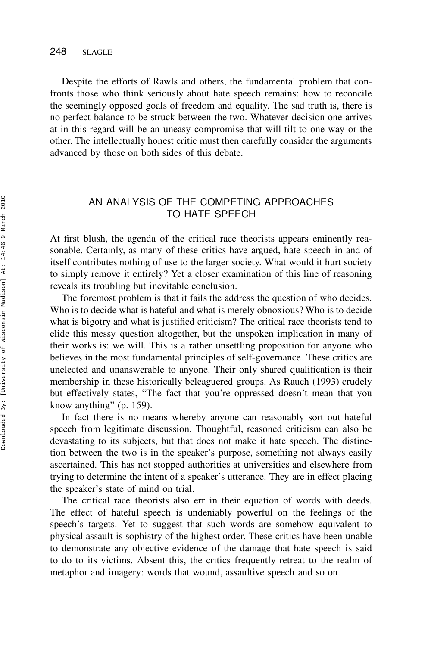Despite the efforts of Rawls and others, the fundamental problem that confronts those who think seriously about hate speech remains: how to reconcile the seemingly opposed goals of freedom and equality. The sad truth is, there is no perfect balance to be struck between the two. Whatever decision one arrives at in this regard will be an uneasy compromise that will tilt to one way or the other. The intellectually honest critic must then carefully consider the arguments advanced by those on both sides of this debate.

## AN ANALYSIS OF THE COMPETING APPROACHES TO HATE SPEECH

At first blush, the agenda of the critical race theorists appears eminently reasonable. Certainly, as many of these critics have argued, hate speech in and of itself contributes nothing of use to the larger society. What would it hurt society to simply remove it entirely? Yet a closer examination of this line of reasoning reveals its troubling but inevitable conclusion.

The foremost problem is that it fails the address the question of who decides. Who is to decide what is hateful and what is merely obnoxious? Who is to decide what is bigotry and what is justified criticism? The critical race theorists tend to elide this messy question altogether, but the unspoken implication in many of their works is: we will. This is a rather unsettling proposition for anyone who believes in the most fundamental principles of self-governance. These critics are unelected and unanswerable to anyone. Their only shared qualification is their membership in these historically beleaguered groups. As Rauch (1993) crudely but effectively states, "The fact that you're oppressed doesn't mean that you know anything" (p. 159).

In fact there is no means whereby anyone can reasonably sort out hateful speech from legitimate discussion. Thoughtful, reasoned criticism can also be devastating to its subjects, but that does not make it hate speech. The distinction between the two is in the speaker's purpose, something not always easily ascertained. This has not stopped authorities at universities and elsewhere from trying to determine the intent of a speaker's utterance. They are in effect placing the speaker's state of mind on trial.

The critical race theorists also err in their equation of words with deeds. The effect of hateful speech is undeniably powerful on the feelings of the speech's targets. Yet to suggest that such words are somehow equivalent to physical assault is sophistry of the highest order. These critics have been unable to demonstrate any objective evidence of the damage that hate speech is said to do to its victims. Absent this, the critics frequently retreat to the realm of metaphor and imagery: words that wound, assaultive speech and so on.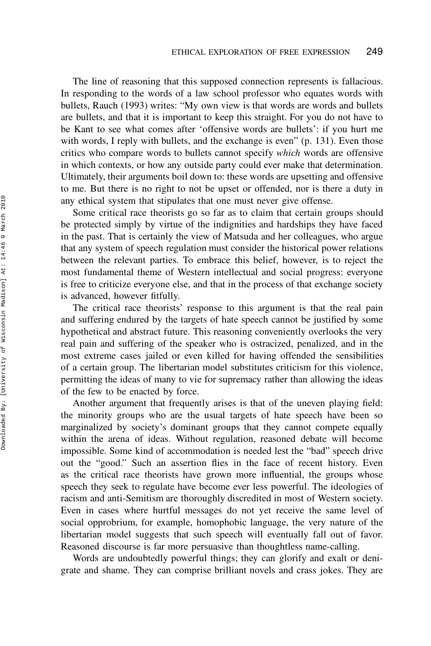The line of reasoning that this supposed connection represents is fallacious. In responding to the words of a law school professor who equates words with bullets, Rauch (1993) writes: "My own view is that words are words and bullets are bullets, and that it is important to keep this straight. For you do not have to be Kant to see what comes after 'offensive words are bullets': if you hurt me with words, I reply with bullets, and the exchange is even" (p. 131). Even those critics who compare words to bullets cannot specify which words are offensive in which contexts, or how any outside party could ever make that determination. Ultimately, their arguments boil down to: these words are upsetting and offensive to me. But there is no right to not be upset or offended, nor is there a duty in any ethical system that stipulates that one must never give offense.

Some critical race theorists go so far as to claim that certain groups should be protected simply by virtue of the indignities and hardships they have faced in the past. That is certainly the view of Matsuda and her colleagues, who argue that any system of speech regulation must consider the historical power relations between the relevant parties. To embrace this belief, however, is to reject the most fundamental theme of Western intellectual and social progress: everyone is free to criticize everyone else, and that in the process of that exchange society is advanced, however fitfully.

The critical race theorists' response to this argument is that the real pain and suffering endured by the targets of hate speech cannot be justified by some hypothetical and abstract future. This reasoning conveniently overlooks the very real pain and suffering of the speaker who is ostracized, penalized, and in the most extreme cases jailed or even killed for having offended the sensibilities of a certain group. The libertarian model substitutes criticism for this violence, permitting the ideas of many to vie for supremacy rather than allowing the ideas of the few to be enacted by force.

Another argument that frequently arises is that of the uneven playing field: the minority groups who are the usual targets of hate speech have been so marginalized by society's dominant groups that they cannot compete equally within the arena of ideas. Without regulation, reasoned debate will become impossible. Some kind of accommodation is needed lest the "bad" speech drive out the "good." Such an assertion flies in the face of recent history. Even as the critical race theorists have grown more influential, the groups whose speech they seek to regulate have become ever less powerful. The ideologies of racism and anti-Semitism are thoroughly discredited in most of Western society. Even in cases where hurtful messages do not yet receive the same level of social opprobrium, for example, homophobic language, the very nature of the libertarian model suggests that such speech will eventually fall out of favor. Reasoned discourse is far more persuasive than thoughtless name-calling.

Words are undoubtedly powerful things; they can glorify and exalt or denigrate and shame. They can comprise brilliant novels and crass jokes. They are